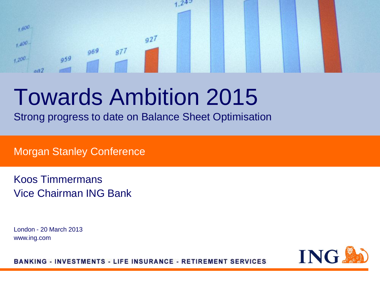### $242$  $1,600$  $927$  $1.400 969$  $877$  $959$  $+200$  $002$

# Towards Ambition 2015

Strong progress to date on Balance Sheet Optimisation

Morgan Stanley Conference

Koos Timmermans Vice Chairman ING Bank

London - 20 March 2013 www.ing.com

ING.

**BANKING - INVESTMENTS - LIFE INSURANCE - RETIREMENT SERVICES**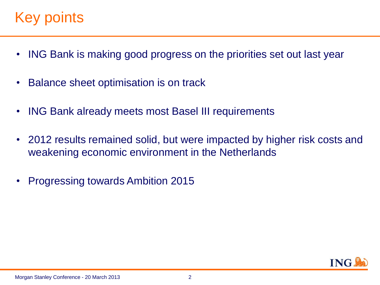### Key points.

- ING Bank is making good progress on the priorities set out last year
- Balance sheet optimisation is on track
- ING Bank already meets most Basel III requirements
- 2012 results remained solid, but were impacted by higher risk costs and weakening economic environment in the Netherlands
- Progressing towards Ambition 2015

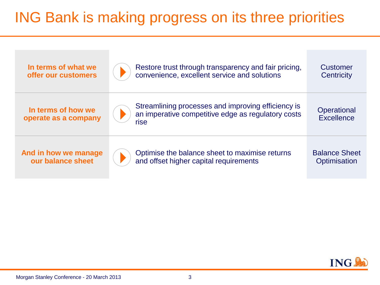## ING Bank is making progress on its three priorities

| In terms of what we                        | Restore trust through transparency and fair pricing,                                                             | <b>Customer</b>                  |
|--------------------------------------------|------------------------------------------------------------------------------------------------------------------|----------------------------------|
| offer our customers                        | convenience, excellent service and solutions                                                                     | Centricity                       |
| In terms of how we<br>operate as a company | Streamlining processes and improving efficiency is<br>an imperative competitive edge as regulatory costs<br>rise | Operational<br><b>Excellence</b> |
| And in how we manage                       | Optimise the balance sheet to maximise returns                                                                   | <b>Balance Sheet</b>             |
| our balance sheet                          | and offset higher capital requirements                                                                           | Optimisation                     |

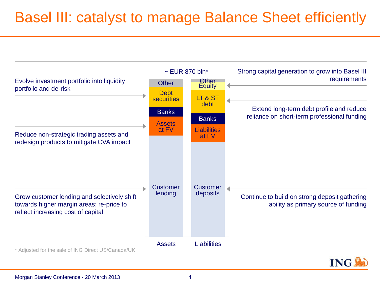### Basel III: catalyst to manage Balance Sheet efficiently

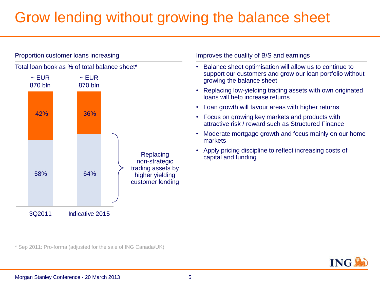### Grow lending without growing the balance sheet



\* Sep 2011: Pro-forma (adjusted for the sale of ING Canada/UK)

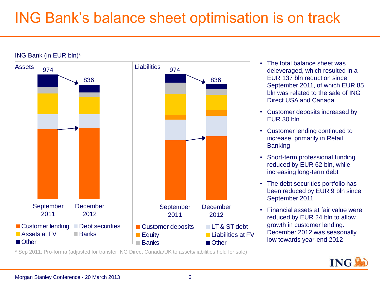### ING Bank's balance sheet optimisation is on track



#### ING Bank (in EUR bln)\*

• The total balance sheet was deleveraged, which resulted in a EUR 137 bln reduction since September 2011, of which EUR 85 bln was related to the sale of ING Direct USA and Canada

- Customer deposits increased by EUR 30 bln
- Customer lending continued to increase, primarily in Retail **Banking**
- Short-term professional funding reduced by EUR 62 bln, while increasing long-term debt
- The debt securities portfolio has been reduced by EUR 9 bln since September 2011
- Financial assets at fair value were reduced by EUR 24 bln to allow growth in customer lending. December 2012 was seasonally low towards year-end 2012

\* Sep 2011: Pro-forma (adjusted for transfer ING Direct Canada/UK to assets/liabilities held for sale)

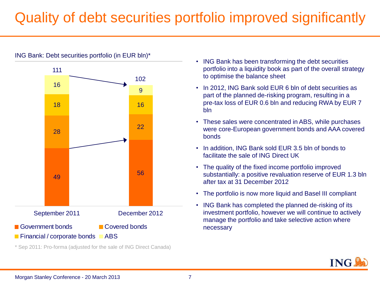### Quality of debt securities portfolio improved significantly



ING Bank: Debt securities portfolio (in EUR bln)\*

\* Sep 2011: Pro-forma (adjusted for the sale of ING Direct Canada)

- ING Bank has been transforming the debt securities portfolio into a liquidity book as part of the overall strategy to optimise the balance sheet
- In 2012, ING Bank sold EUR 6 bln of debt securities as part of the planned de-risking program, resulting in a pre-tax loss of EUR 0.6 bln and reducing RWA by EUR 7 bln
- These sales were concentrated in ABS, while purchases were core-European government bonds and AAA covered bonds
- In addition, ING Bank sold EUR 3.5 bln of bonds to facilitate the sale of ING Direct UK
- The quality of the fixed income portfolio improved substantially: a positive revaluation reserve of EUR 1.3 bln after tax at 31 December 2012
- The portfolio is now more liquid and Basel III compliant
- ING Bank has completed the planned de-risking of its investment portfolio, however we will continue to actively manage the portfolio and take selective action where necessary

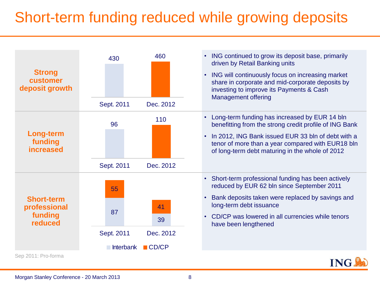### Short-term funding reduced while growing deposits

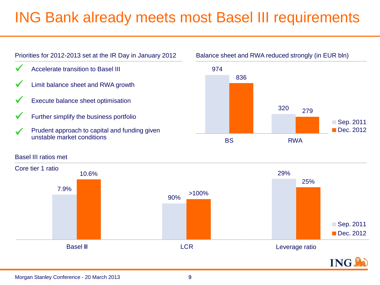### ING Bank already meets most Basel III requirements



#### Basel III ratios met



### Balance sheet and RWA reduced strongly (in EUR bln)

■Sep. 2011 Dec. 2012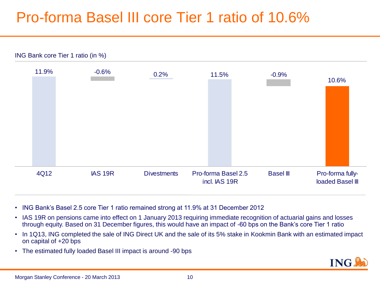### Pro-forma Basel III core Tier 1 ratio of 10.6%



Morgan Stanley Conference - 20 March 2013

- ING Bank's Basel 2.5 core Tier 1 ratio remained strong at 11.9% at 31 December 2012
- IAS 19R on pensions came into effect on 1 January 2013 requiring immediate recognition of actuarial gains and losses through equity. Based on 31 December figures, this would have an impact of -60 bps on the Bank's core Tier 1 ratio
- In 1Q13, ING completed the sale of ING Direct UK and the sale of its 5% stake in Kookmin Bank with an estimated impact on capital of +20 bps
- The estimated fully loaded Basel III impact is around -90 bps

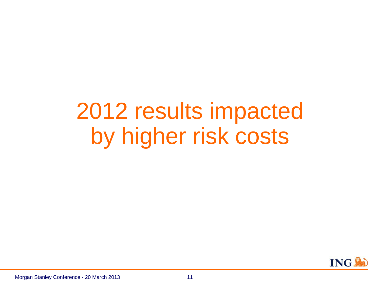# 2012 results impacted by higher risk costs

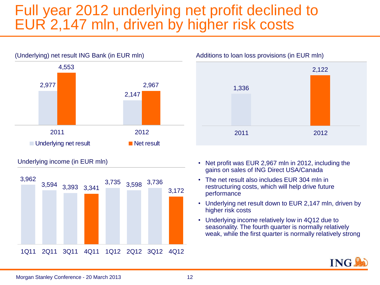### Full year 2012 underlying net profit declined to EUR 2,147 mln, driven by higher risk costs



Underlying income (in EUR mln)





- Net profit was EUR 2,967 mln in 2012, including the gains on sales of ING Direct USA/Canada
- The net result also includes EUR 304 mln in restructuring costs, which will help drive future performance
- Underlying net result down to EUR 2,147 mln, driven by higher risk costs
- Underlying income relatively low in 4Q12 due to seasonality. The fourth quarter is normally relatively weak, while the first quarter is normally relatively strong

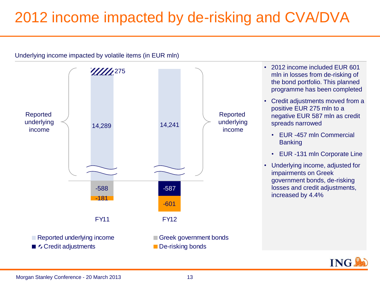## 2012 income impacted by de-risking and CVA/DVA



- 2012 income included EUR 601 mln in losses from de-risking of the bond portfolio. This planned programme has been completed
- Credit adjustments moved from a positive EUR 275 mln to a negative EUR 587 mln as credit spreads narrowed
	- EUR -457 mln Commercial **Banking**
	- EUR -131 mln Corporate Line
- Underlying income, adjusted for impairments on Greek government bonds, de-risking losses and credit adjustments,



Morgan Stanley Conference - 20 March 2013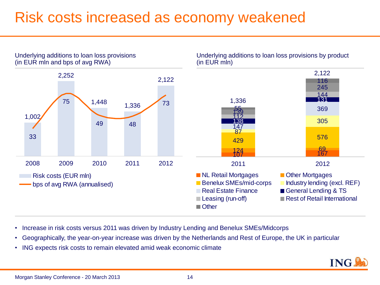### Risk costs increased as economy weakened



Underlying additions to loan loss provisions by product

- Increase in risk costs versus 2011 was driven by Industry Lending and Benelux SMEs/Midcorps
- Geographically, the year-on-year increase was driven by the Netherlands and Rest of Europe, the UK in particular
- ING expects risk costs to remain elevated amid weak economic climate



Underlying additions to loan loss provisions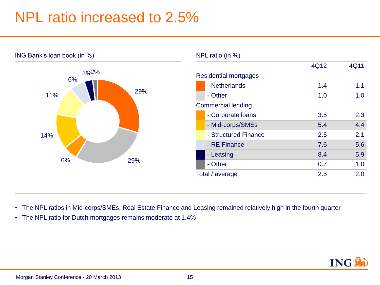### NPL ratio increased to 2.5%



#### NPL ratio (in %)

|                           |                              | 4Q12 | 4Q11 |
|---------------------------|------------------------------|------|------|
|                           | <b>Residential mortgages</b> |      |      |
|                           | - Netherlands                | 1.4  | 1.1  |
|                           | - Other                      | 1.0  | 1.0  |
| <b>Commercial lending</b> |                              |      |      |
|                           | - Corporate loans            | 3.5  | 2.3  |
|                           | - Mid-corps/SMEs             | 5.4  | 4.4  |
|                           | - Structured Finance         | 2.5  | 2.1  |
|                           | - RE Finance                 | 7.6  | 5.6  |
|                           | - Leasing                    | 8.4  | 5.9  |
|                           | - Other                      | 0.7  | 1.0  |
| Total / average           |                              | 2.5  | 2.0  |
|                           |                              |      |      |

- The NPL ratios in Mid-corps/SMEs, Real Estate Finance and Leasing remained relatively high in the fourth quarter
- The NPL ratio for Dutch mortgages remains moderate at 1.4%

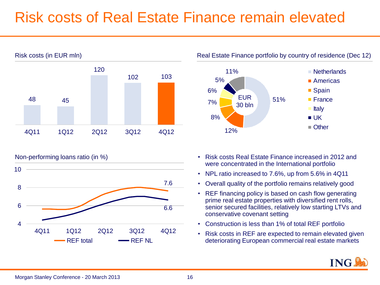### Risk costs of Real Estate Finance remain elevated







- Non-performing loans ratio (in %) Risk costs Real Estate Finance increased in 2012 and were concentrated in the International portfolio
	- NPL ratio increased to 7.6%, up from 5.6% in 4Q11
	- Overall quality of the portfolio remains relatively good
	- REF financing policy is based on cash flow generating prime real estate properties with diversified rent rolls, senior secured facilities, relatively low starting LTVs and conservative covenant setting
	- Construction is less than 1% of total REF portfolio
	- Risk costs in REF are expected to remain elevated given deteriorating European commercial real estate markets

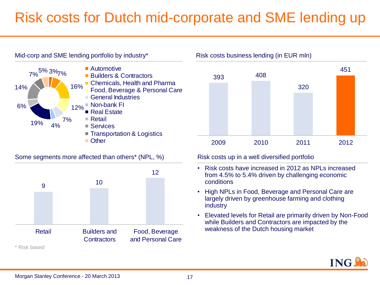### Risk costs for Dutch mid-corporate and SME lending up



Some segments more affected than others<sup>\*</sup> (NPL, %) Risk costs up in a well diversified portfolio





- Risk costs have increased in 2012 as NPLs increased from 4.5% to 5.4% driven by challenging economic conditions
- High NPLs in Food, Beverage and Personal Care are largely driven by greenhouse farming and clothing industry
- Elevated levels for Retail are primarily driven by Non-Food while Builders and Contractors are impacted by the weakness of the Dutch housing market

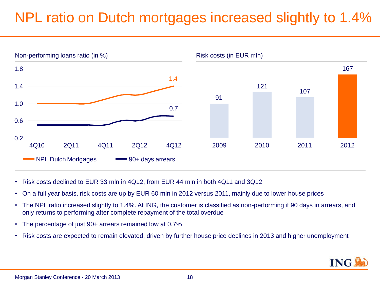### NPL ratio on Dutch mortgages increased slightly to 1.4%



- Risk costs declined to EUR 33 mln in 4Q12, from EUR 44 mln in both 4Q11 and 3Q12
- On a full year basis, risk costs are up by EUR 60 mln in 2012 versus 2011, mainly due to lower house prices
- The NPL ratio increased slightly to 1.4%. At ING, the customer is classified as non-performing if 90 days in arrears, and only returns to performing after complete repayment of the total overdue
- The percentage of just 90+ arrears remained low at 0.7%
- Risk costs are expected to remain elevated, driven by further house price declines in 2013 and higher unemployment

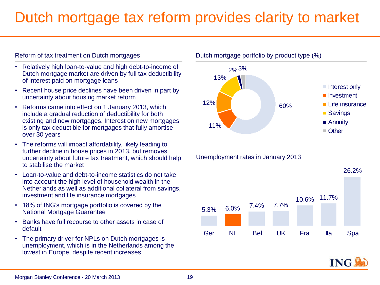### Dutch mortgage tax reform provides clarity to market

#### Reform of tax treatment on Dutch mortgages

- Relatively high loan-to-value and high debt-to-income of Dutch mortgage market are driven by full tax deductibility of interest paid on mortgage loans
- Recent house price declines have been driven in part by uncertainty about housing market reform
- Reforms came into effect on 1 January 2013, which include a gradual reduction of deductibility for both existing and new mortgages. Interest on new mortgages is only tax deductible for mortgages that fully amortise over 30 years
- The reforms will impact affordability, likely leading to further decline in house prices in 2013, but removes uncertainty about future tax treatment, which should help to stabilise the market
- Loan-to-value and debt-to-income statistics do not take into account the high level of household wealth in the Netherlands as well as additional collateral from savings, investment and life insurance mortgages
- 18% of ING's mortgage portfolio is covered by the National Mortgage Guarantee
- Banks have full recourse to other assets in case of default
- The primary driver for NPLs on Dutch mortgages is unemployment, which is in the Netherlands among the lowest in Europe, despite recent increases



Unemployment rates in January 2013



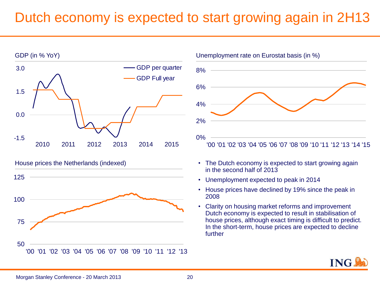### Dutch economy is expected to start growing again in 2H13







- The Dutch economy is expected to start growing again in the second half of 2013
- Unemployment expected to peak in 2014
- House prices have declined by 19% since the peak in 2008
- Clarity on housing market reforms and improvement Dutch economy is expected to result in stabilisation of house prices, although exact timing is difficult to predict. In the short-term, house prices are expected to decline further

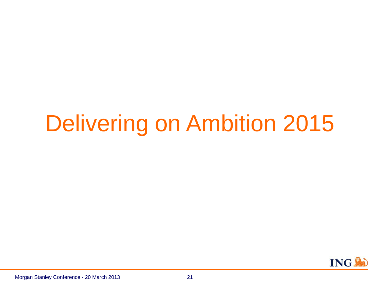# Delivering on Ambition 2015

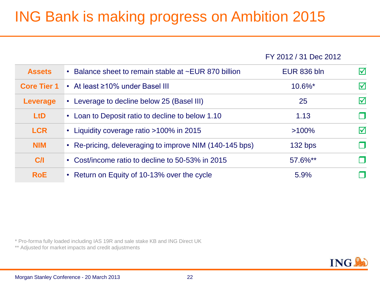## ING Bank is making progress on Ambition 2015

FY 2012 / 31 Dec 2012

| <b>Assets</b>      | • Balance sheet to remain stable at ~EUR 870 billion    | <b>EUR 836 bln</b>    | $\overline{\mathsf{M}}$ |
|--------------------|---------------------------------------------------------|-----------------------|-------------------------|
| <b>Core Tier 1</b> | • At least ≥10% under Basel III                         | $10.6\%$ <sup>*</sup> | $\blacktriangledown$    |
| <b>Leverage</b>    | • Leverage to decline below 25 (Basel III)              | 25                    | $\triangledown$         |
| L <sub>t</sub> D   | • Loan to Deposit ratio to decline to below 1.10        | 1.13                  |                         |
| <b>LCR</b>         | • Liquidity coverage ratio >100% in 2015                | $>100\%$              | $\boldsymbol{\nabla}$   |
| <b>NIM</b>         | • Re-pricing, deleveraging to improve NIM (140-145 bps) | 132 bps               |                         |
| C/I                | • Cost/income ratio to decline to 50-53% in 2015        | 57.6%**               |                         |
| <b>RoE</b>         | • Return on Equity of 10-13% over the cycle             | 5.9%                  |                         |

\* Pro-forma fully loaded including IAS 19R and sale stake KB and ING Direct UK

\*\* Adjusted for market impacts and credit adjustments

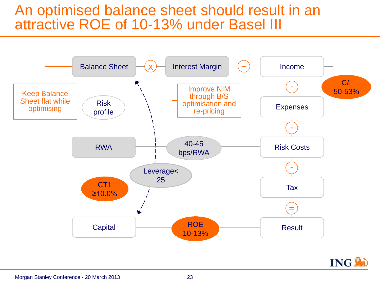### An optimised balance sheet should result in an attractive ROE of 10-13% under Basel III



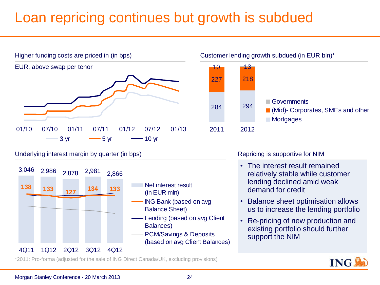### Loan repricing continues but growth is subdued





### Underlying interest margin by quarter (in bps)



- Net interest result (in EUR mln)
- ING Bank (based on avg Balance Sheet)
- Lending (based on avg Client Balances)
- PCM/Savings & Deposits (based on avg Client Balances)

### Repricing is supportive for NIM

- The interest result remained relatively stable while customer lending declined amid weak demand for credit
- Balance sheet optimisation allows us to increase the lending portfolio
- Re-pricing of new production and existing portfolio should further support the NIM

\*2011: Pro-forma (adjusted for the sale of ING Direct Canada/UK, excluding provisions)

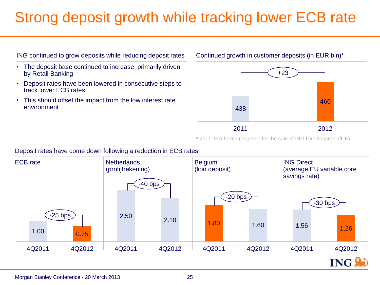### Strong deposit growth while tracking lower ECB rate



- The deposit base continued to increase, primarily driven by Retail Banking
- Deposit rates have been lowered in consecutive steps to track lower ECB rates
- This should offset the impact from the low interest rate environment

#### Continued growth in customer deposits (in EUR bln)\*



\* 2011: Pro-forma (adjusted for the sale of ING Direct Canada/UK)

### Deposit rates have come down following a reduction in ECB rates

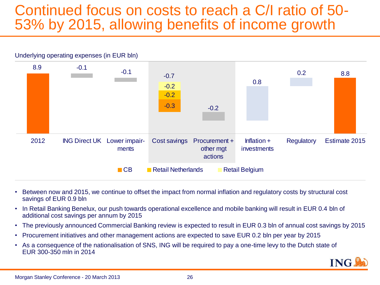### Continued focus on costs to reach a C/I ratio of 50-53% by 2015, allowing benefits of income growth



- Between now and 2015, we continue to offset the impact from normal inflation and regulatory costs by structural cost savings of EUR 0.9 bln
- In Retail Banking Benelux, our push towards operational excellence and mobile banking will result in EUR 0.4 bln of additional cost savings per annum by 2015
- The previously announced Commercial Banking review is expected to result in EUR 0.3 bln of annual cost savings by 2015
- Procurement initiatives and other management actions are expected to save EUR 0.2 bln per year by 2015
- As a consequence of the nationalisation of SNS, ING will be required to pay a one-time levy to the Dutch state of EUR 300-350 mln in 2014

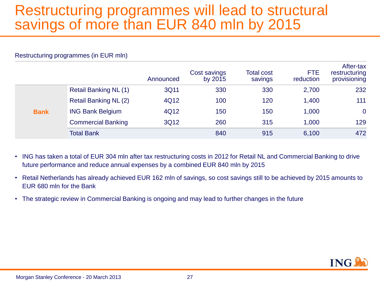### Restructuring programmes will lead to structural savings of more than EUR 840 mln by 2015

#### Restructuring programmes (in EUR mln)

|             |                              | Announced | Cost savings<br>by 2015 | <b>Total cost</b><br>savings | <b>FTE</b><br>reduction | After-tax<br>restructuring<br>provisioning |
|-------------|------------------------------|-----------|-------------------------|------------------------------|-------------------------|--------------------------------------------|
|             | <b>Retail Banking NL (1)</b> | 3Q11      | 330                     | 330                          | 2,700                   | 232                                        |
|             | <b>Retail Banking NL (2)</b> | 4Q12      | 100                     | 120                          | 1,400                   | 111                                        |
| <b>Bank</b> | <b>ING Bank Belgium</b>      | 4Q12      | 150                     | 150                          | 1,000                   | $\overline{0}$                             |
|             | <b>Commercial Banking</b>    | 3Q12      | 260                     | 315                          | 1,000                   | 129                                        |
|             | <b>Total Bank</b>            |           | 840                     | 915                          | 6,100                   | 472                                        |

- ING has taken a total of EUR 304 mln after tax restructuring costs in 2012 for Retail NL and Commercial Banking to drive future performance and reduce annual expenses by a combined EUR 840 mln by 2015
- Retail Netherlands has already achieved EUR 162 mln of savings, so cost savings still to be achieved by 2015 amounts to EUR 680 mln for the Bank
- The strategic review in Commercial Banking is ongoing and may lead to further changes in the future

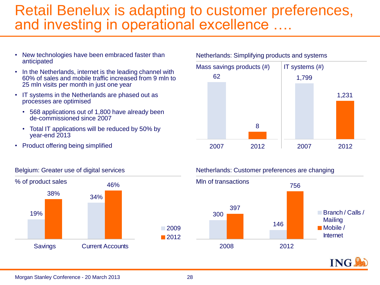### Retail Benelux is adapting to customer preferences, and investing in operational excellence ....

- New technologies have been embraced faster than anticipated
- In the Netherlands, internet is the leading channel with 60% of sales and mobile traffic increased from 9 mln to 25 mln visits per month in just one year
- IT systems in the Netherlands are phased out as processes are optimised
	- 568 applications out of 1,800 have already been de-commissioned since 2007
	- Total IT applications will be reduced by 50% by year-end 2013
- Product offering being simplified



#### Netherlands: Simplifying products and systems



#### Belgium: Greater use of digital services

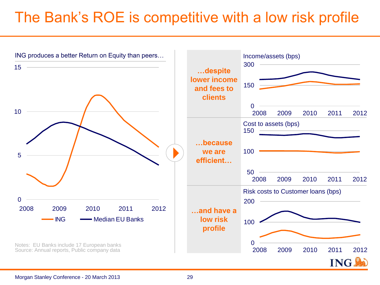## The Bank's ROE is competitive with a low risk profile

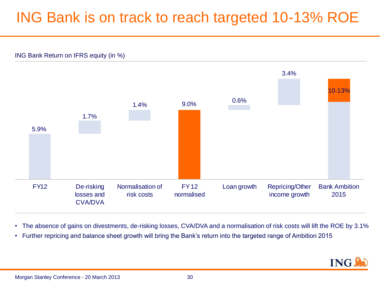### ING Bank is on track to reach targeted 10-13% ROE



• The absence of gains on divestments, de-risking losses, CVA/DVA and a normalisation of risk costs will lift the ROE by 3.1%

• Further repricing and balance sheet growth will bring the Bank's return into the targeted range of Ambition 2015

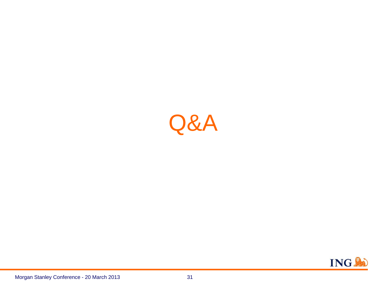